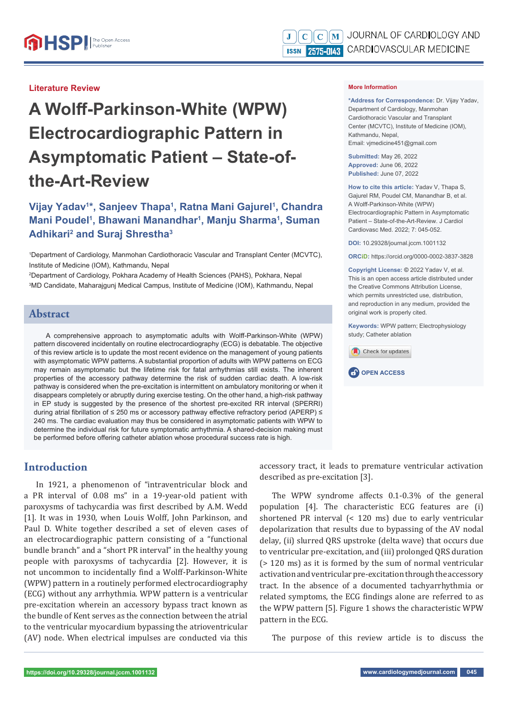#### **Literature Review**

# **A Wolff -Parkinson-White (WPW) Electrocardiographic Pattern in Asymptomatic Patient – State-ofthe-Art-Review**

# **Vijay Yadav1 \*, Sanjeev Thapa1 , Ratna Mani Gajurel1 , Chandra Mani Poudel1 , Bhawani Manandhar1 , Manju Sharma1 , Suman Adhikari2 and Suraj Shrestha3**

1 Department of Cardiology, Manmohan Cardiothoracic Vascular and Transplant Center (MCVTC), Institute of Medicine (IOM), Kathmandu, Nepal

2 Department of Cardiology, Pokhara Academy of Health Sciences (PAHS), Pokhara, Nepal 3 MD Candidate, Maharajgunj Medical Campus, Institute of Medicine (IOM), Kathmandu, Nepal

## **Abstract**

A comprehensive approach to asymptomatic adults with Wolff -Parkinson-White (WPW) pattern discovered incidentally on routine electrocardiography (ECG) is debatable. The objective of this review article is to update the most recent evidence on the management of young patients with asymptomatic WPW patterns. A substantial proportion of adults with WPW patterns on ECG may remain asymptomatic but the lifetime risk for fatal arrhythmias still exists. The inherent properties of the accessory pathway determine the risk of sudden cardiac death. A low-risk pathway is considered when the pre-excitation is intermittent on ambulatory monitoring or when it disappears completely or abruptly during exercise testing. On the other hand, a high-risk pathway in EP study is suggested by the presence of the shortest pre-excited RR interval (SPERRI) during atrial fibrillation of  $\leq$  250 ms or accessory pathway effective refractory period (APERP)  $\leq$ 240 ms. The cardiac evaluation may thus be considered in asymptomatic patients with WPW to determine the individual risk for future symptomatic arrhythmia. A shared-decision making must be performed before offering catheter ablation whose procedural success rate is high.

## **Introduction**

In 1921, a phenomenon of "intraventricular block and a PR interval of 0.08 ms" in a 19-year-old patient with paroxysms of tachycardia was first described by A.M. Wedd [1]. It was in 1930, when Louis Wolff, John Parkinson, and Paul D. White together described a set of eleven cases of an electrocardiographic pattern consisting of a "functional bundle branch" and a "short PR interval" in the healthy young people with paroxysms of tachycardia [2]. However, it is not uncommon to incidentally find a Wolff-Parkinson-White (WPW) pattern in a routinely performed electrocardiography (ECG) without any arrhythmia. WPW pattern is a ventricular pre-excitation wherein an accessory bypass tract known as the bundle of Kent serves as the connection between the atrial to the ventricular myocardium bypassing the atrioventricular (AV) node. When electrical impulses are conducted via this **More Information** 

**\*Address for Correspondence:** Dr. Vijay Yadav, Department of Cardiology, Manmohan Cardiothoracic Vascular and Transplant Center (MCVTC), Institute of Medicine (IOM), Kathmandu, Nepal, Email: vjmedicine451@gmail.com

**Submitted:** May 26, 2022 **Approved:** June 06, 2022 **Published:** June 07, 2022

**How to cite this article:** Yadav V, Thapa S, Gajurel RM, Poudel CM, Manandhar B, et al. A Wolff-Parkinson-White (WPW) Electrocardiographic Pattern in Asymptomatic Patient – State-of-the-Art-Review. J Cardiol Cardiovasc Med. 2022; 7: 045-052.

**DOI:** 10.29328/journal.jccm.1001132

**ORCiD:** https://orcid.org/0000-0002-3837-3828

**Copyright License: ©** 2022 Yadav V, et al. This is an open access article distributed under the Creative Commons Attribution License, which permits unrestricted use, distribution, and reproduction in any medium, provided the original work is properly cited.

**Keywords:** WPW pattern; Electrophysiology study; Catheter ablation





accessory tract, it leads to premature ventricular activation described as pre-excitation [3].

The WPW syndrome affects 0.1-0.3% of the general population [4]. The characteristic ECG features are (i) shortened PR interval (< 120 ms) due to early ventricular depolarization that results due to bypassing of the AV nodal delay, (ii) slurred QRS upstroke (delta wave) that occurs due to ventricular pre-excitation, and (iii) prolonged QRS duration (> 120 ms) as it is formed by the sum of normal ventricular activation and ventricular pre-excitation through the accessory tract. In the absence of a documented tachyarrhythmia or related symptoms, the ECG findings alone are referred to as the WPW pattern [5]. Figure 1 shows the characteristic WPW pattern in the ECG.

The purpose of this review article is to discuss the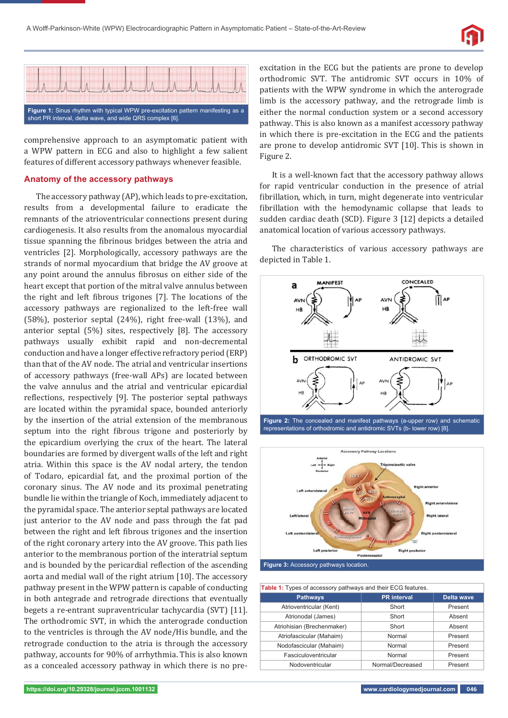



comprehensive approach to an asymptomatic patient with a WPW pattern in ECG and also to highlight a few salient features of different accessory pathways whenever feasible.

#### **Anatomy of the accessory pathways**

The accessory pathway (AP), which leads to pre-excitation, results from a developmental failure to eradicate the remnants of the atrioventricular connections present during cardiogenesis. It also results from the anomalous myocardial tissue spanning the fibrinous bridges between the atria and ventricles [2]. Morphologically, accessory pathways are the strands of normal myocardium that bridge the AV groove at any point around the annulus fibrosus on either side of the heart except that portion of the mitral valve annulus between the right and left fibrous trigones [7]. The locations of the accessory pathways are regionalized to the left-free wall (58%), posterior septal (24%), right free-wall (13%), and anterior septal (5%) sites, respectively [8]. The accessory pathways usually exhibit rapid and non-decremental conduction and have a longer effective refractory period (ERP) than that of the AV node. The atrial and ventricular insertions of accessory pathways (free-wall APs) are located between the valve annulus and the atrial and ventricular epicardial reflections, respectively [9]. The posterior septal pathways are located within the pyramidal space, bounded anteriorly by the insertion of the atrial extension of the membranous septum into the right fibrous trigone and posteriorly by the epicardium overlying the crux of the heart. The lateral boundaries are formed by divergent walls of the left and right atria. Within this space is the AV nodal artery, the tendon of Todaro, epicardial fat, and the proximal portion of the coronary sinus. The AV node and its proximal penetrating bundle lie within the triangle of Koch, immediately adjacent to the pyramidal space. The anterior septal pathways are located just anterior to the AV node and pass through the fat pad between the right and left fibrous trigones and the insertion of the right coronary artery into the AV groove. This path lies anterior to the membranous portion of the interatrial septum and is bounded by the pericardial reflection of the ascending aorta and medial wall of the right atrium [10]. The accessory pathway present in the WPW pattern is capable of conducting in both antegrade and retrograde directions that eventually begets a re-entrant supraventricular tachycardia (SVT) [11]. The orthodromic SVT, in which the anterograde conduction to the ventricles is through the AV node/His bundle, and the retrograde conduction to the atria is through the accessory pathway, accounts for 90% of arrhythmia. This is also known as a concealed accessory pathway in which there is no preexcitation in the ECG but the patients are prone to develop orthodromic SVT. The antidromic SVT occurs in 10% of patients with the WPW syndrome in which the anterograde limb is the accessory pathway, and the retrograde limb is either the normal conduction system or a second accessory pathway. This is also known as a manifest accessory pathway in which there is pre-excitation in the ECG and the patients are prone to develop antidromic SVT [10]. This is shown in Figure 2.

It is a well-known fact that the accessory pathway allows for rapid ventricular conduction in the presence of atrial fibrillation, which, in turn, might degenerate into ventricular fibrillation with the hemodynamic collapse that leads to sudden cardiac death (SCD). Figure 3 [12] depicts a detailed anatomical location of various accessory pathways.

The characteristics of various accessory pathways are depicted in Table 1.



**Figure 2:** The concealed and manifest pathways (a-upper row) and schematic representations of orthodromic and antidromic SVTs (b- lower row) [8].



| Table 1: Types of accessory pathways and their ECG features. |                    |                   |  |  |
|--------------------------------------------------------------|--------------------|-------------------|--|--|
| <b>Pathways</b>                                              | <b>PR</b> interval | <b>Delta wave</b> |  |  |
| Atrioventricular (Kent)                                      | Short              | Present           |  |  |
| Atrionodal (James)                                           | Short              | Absent            |  |  |
| Atriohisian (Brechenmaker)                                   | Short              | Absent            |  |  |
| Atriofascicular (Mahaim)                                     | Normal             | Present           |  |  |
| Nodofascicular (Mahaim)                                      | Normal             | Present           |  |  |
| Fasciculoventricular                                         | Normal             | Present           |  |  |
| Nodoventricular                                              | Normal/Decreased   | Present           |  |  |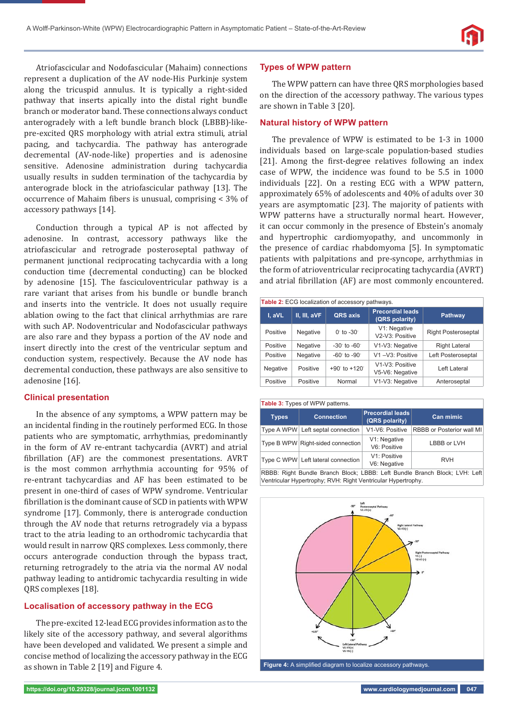Atriofascicular and Nodofascicular (Mahaim) connections represent a duplication of the AV node-His Purkinje system along the tricuspid annulus. It is typically a right-sided pathway that inserts apically into the distal right bundle branch or moderator band. These connections always conduct anterogradely with a left bundle branch block (LBBB)-likepre-excited QRS morphology with atrial extra stimuli, atrial pacing, and tachycardia. The pathway has anterograde decremental (AV-node-like) properties and is adenosine sensitive. Adenosine administration during tachycardia usually results in sudden termination of the tachycardia by anterograde block in the atriofascicular pathway [13]. The occurrence of Mahaim fibers is unusual, comprising  $<$  3% of accessory pathways [14].

Conduction through a typical AP is not affected by adenosine. In contrast, accessory pathways like the atriofascicular and retrograde posteroseptal pathway of permanent junctional reciprocating tachycardia with a long conduction time (decremental conducting) can be blocked by adenosine [15]. The fasciculoventricular pathway is a rare variant that arises from his bundle or bundle branch and inserts into the ventricle. It does not usually require ablation owing to the fact that clinical arrhythmias are rare with such AP. Nodoventricular and Nodofascicular pathways are also rare and they bypass a portion of the AV node and insert directly into the crest of the ventricular septum and conduction system, respectively. Because the AV node has decremental conduction, these pathways are also sensitive to adenosine [16].

#### **Clinical presentation**

In the absence of any symptoms, a WPW pattern may be an incidental finding in the routinely performed ECG. In those patients who are symptomatic, arrhythmias, predominantly in the form of AV re-entrant tachycardia (AVRT) and atrial fibrillation (AF) are the commonest presentations. AVRT is the most common arrhythmia accounting for 95% of re-entrant tachycardias and AF has been estimated to be present in one-third of cases of WPW syndrome. Ventricular fibrillation is the dominant cause of SCD in patients with WPW syndrome [17]. Commonly, there is anterograde conduction through the AV node that returns retrogradely via a bypass tract to the atria leading to an orthodromic tachycardia that would result in narrow QRS complexes. Less commonly, there occurs anterograde conduction through the bypass tract, returning retrogradely to the atria via the normal AV nodal pathway leading to antidromic tachycardia resulting in wide QRS complexes [18].

#### **Localisation of accessory pathway in the ECG**

The pre-excited 12-lead ECG provides information as to the likely site of the accessory pathway, and several algorithms have been developed and validated. We present a simple and concise method of localizing the accessory pathway in the ECG as shown in Table 2 [19] and Figure 4.

#### **Types of WPW pattern**

The WPW pattern can have three QRS morphologies based on the direction of the accessory pathway. The various types are shown in Table 3 [20].

#### **Natural history of WPW pattern**

The prevalence of WPW is estimated to be 1-3 in 1000 individuals based on large-scale population-based studies [21]. Among the first-degree relatives following an index case of WPW, the incidence was found to be 5.5 in 1000 individuals [22]. On a resting ECG with a WPW pattern, approximately 65% of adolescents and 40% of adults over 30 years are asymptomatic [23]. The majority of patients with WPW patterns have a structurally normal heart. However, it can occur commonly in the presence of Ebstein's anomaly and hypertrophic cardiomyopathy, and uncommonly in the presence of cardiac rhabdomyoma [5]. In symptomatic patients with palpitations and pre-syncope, arrhythmias in the form of atrioventricular reciprocating tachycardia (AVRT) and atrial fibrillation (AF) are most commonly encountered.

| <b>Table 2: ECG localization of accessory pathways.</b> |              |                                |                                           |                            |
|---------------------------------------------------------|--------------|--------------------------------|-------------------------------------------|----------------------------|
| I, aVL                                                  | II, III, aVF | QRS axis                       | <b>Precordial leads</b><br>(QRS polarity) | <b>Pathway</b>             |
| Positive                                                | Negative     | $0°$ to $-30°$                 | V1: Negative<br>V2-V3: Positive           | <b>Right Posteroseptal</b> |
| Positive                                                | Negative     | $-30^{\circ}$ to $-60^{\circ}$ | V1-V3: Negative                           | <b>Right Lateral</b>       |
| Positive                                                | Negative     | $-60^\circ$ to $-90^\circ$     | V1-V3: Positive                           | Left Posteroseptal         |
| Negative                                                | Positive     | $+90^\circ$ to $+120^\circ$    | V1-V3: Positive<br>V5-V6: Negative        | I eft I ateral             |
| Positive                                                | Positive     | Normal                         | V1-V3: Negative                           | Anteroseptal               |

#### **Table 3:** Types of WPW patterns. **Types Connection Precordial leads (QRS polarity) Can mimic** Type A WPW Left septal connection | V1-V6: Positive | RBBB or Posterior wall MI Type B WPW Right-sided connection V1: Negative v i. Negative<br>V6: Positive LBBB or LVH Type C WPW Left lateral connection V1: Positive V<sub>1</sub>: Positive RVH<br>V6: Negative RBBB: Right Bundle Branch Block; LBBB: Left Bundle Branch Block; LVH: Left Ventricular Hypertrophy; RVH: Right Ventricular Hypertrophy.



Figure 4: A simplified diagram to localize accessory pathways.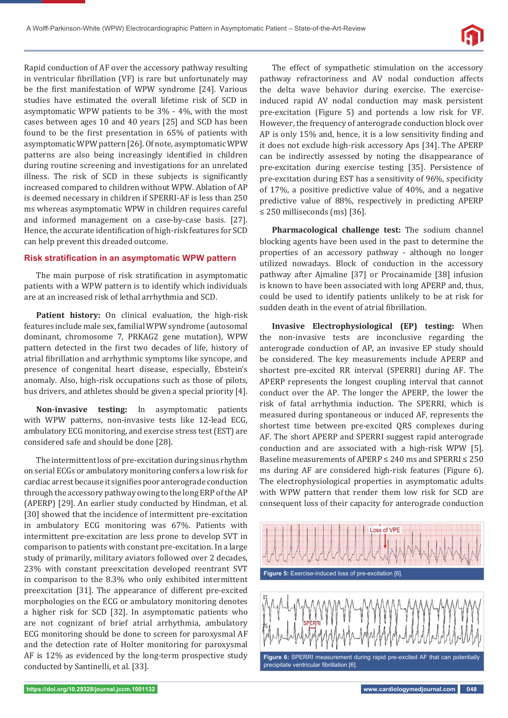

Rapid conduction of AF over the accessory pathway resulting in ventricular fibrillation (VF) is rare but unfortunately may be the first manifestation of WPW syndrome [24]. Various studies have estimated the overall lifetime risk of SCD in asymptomatic WPW patients to be 3% - 4%, with the most cases between ages 10 and 40 years [25] and SCD has been found to be the first presentation in 65% of patients with asymptomatic WPW pattern [26]. Of note, asymptomatic WPW patterns are also being increasingly identified in children during routine screening and investigations for an unrelated illness. The risk of SCD in these subjects is significantly increased compared to children without WPW. Ablation of AP is deemed necessary in children if SPERRI-AF is less than 250 ms whereas asymptomatic WPW in children requires careful and informed management on a case-by-case basis. [27]. Hence, the accurate identification of high-risk features for SCD can help prevent this dreaded outcome.

#### **Risk stratification in an asymptomatic WPW pattern**

The main purpose of risk stratification in asymptomatic patients with a WPW pattern is to identify which individuals are at an increased risk of lethal arrhythmia and SCD.

Patient history: On clinical evaluation, the high-risk features include male sex, familial WPW syndrome (autosomal dominant, chromosome 7, PRKAG2 gene mutation), WPW pattern detected in the first two decades of life, history of atrial fibrillation and arrhythmic symptoms like syncope, and presence of congenital heart disease, especially, Ebstein's anomaly. Also, high-risk occupations such as those of pilots, bus drivers, and athletes should be given a special priority [4].

**Non-invasive testing:** In asymptomatic patients with WPW patterns, non-invasive tests like 12-lead ECG, ambulatory ECG monitoring, and exercise stress test (EST) are considered safe and should be done [28].

The intermittent loss of pre-excitation during sinus rhythm on serial ECGs or ambulatory monitoring confers a low risk for cardiac arrest because it signifies poor anterograde conduction through the accessory pathway owing to the long ERP of the AP (APERP) [29]. An earlier study conducted by Hindman, et al*.*  [30] showed that the incidence of intermittent pre-excitation in ambulatory ECG monitoring was 67%. Patients with intermittent pre-excitation are less prone to develop SVT in comparison to patients with constant pre-excitation. In a large study of primarily, military aviators followed over 2 decades, 23% with constant preexcitation developed reentrant SVT in comparison to the 8.3% who only exhibited intermittent preexcitation [31]. The appearance of different pre-excited morphologies on the ECG or ambulatory monitoring denotes a higher risk for SCD [32]. In asymptomatic patients who are not cognizant of brief atrial arrhythmia, ambulatory ECG monitoring should be done to screen for paroxysmal AF and the detection rate of Holter monitoring for paroxysmal AF is 12% as evidenced by the long-term prospective study conducted by Santinelli, et al*.* [33].

The effect of sympathetic stimulation on the accessory pathway refractoriness and AV nodal conduction affects the delta wave behavior during exercise. The exerciseinduced rapid AV nodal conduction may mask persistent pre-excitation (Figure 5) and portends a low risk for VF. However, the frequency of anterograde conduction block over  $AP$  is only 15% and, hence, it is a low sensitivity finding and it does not exclude high-risk accessory Aps [34]. The APERP can be indirectly assessed by noting the disappearance of pre-excitation during exercise testing [35]. Persistence of pre-excitation during EST has a sensitivity of 96%, specificity of 17%, a positive predictive value of 40%, and a negative predictive value of 88%, respectively in predicting APERP ≤ 250 milliseconds (ms) [36].

**Pharmacological challenge test:** The sodium channel blocking agents have been used in the past to determine the properties of an accessory pathway - although no longer utilized nowadays. Block of conduction in the accessory pathway after Ajmaline [37] or Procainamide [38] infusion is known to have been associated with long APERP and, thus, could be used to identify patients unlikely to be at risk for sudden death in the event of atrial fibrillation.

**Invasive Electrophysiological (EP) testing:** When the non-invasive tests are inconclusive regarding the anterograde conduction of AP, an invasive EP study should be considered. The key measurements include APERP and shortest pre-excited RR interval (SPERRI) during AF. The APERP represents the longest coupling interval that cannot conduct over the AP. The longer the APERP, the lower the risk of fatal arrhythmia induction. The SPERRI, which is measured during spontaneous or induced AF, represents the shortest time between pre-excited QRS complexes during AF. The short APERP and SPERRI suggest rapid anterograde conduction and are associated with a high-risk WPW [5]. Baseline measurements of APERP ≤ 240 ms and SPERRI ≤ 250 ms during AF are considered high-risk features (Figure 6). The electrophysiological properties in asymptomatic adults with WPW pattern that render them low risk for SCD are consequent loss of their capacity for anterograde conduction

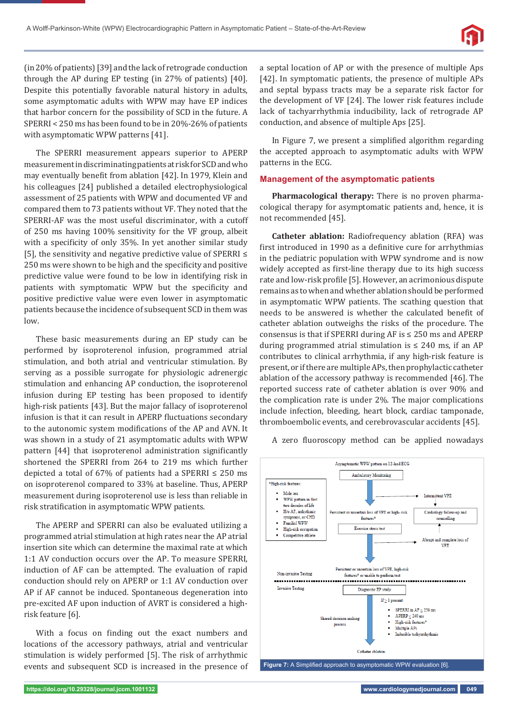

(in 20% of patients) [39] and the lack of retrograde conduction through the AP during EP testing (in 27% of patients) [40]. Despite this potentially favorable natural history in adults, some asymptomatic adults with WPW may have EP indices that harbor concern for the possibility of SCD in the future. A SPERRI < 250 ms has been found to be in 20%-26% of patients with asymptomatic WPW patterns [41].

The SPERRI measurement appears superior to APERP measurement in discriminating patients at risk for SCD and who may eventually benefit from ablation [42]. In 1979, Klein and his colleagues [24] published a detailed electrophysiological assessment of 25 patients with WPW and documented VF and compared them to 73 patients without VF. They noted that the SPERRI-AF was the most useful discriminator, with a cutoff of 250 ms having 100% sensitivity for the VF group, albeit with a specificity of only 35%. In yet another similar study [5], the sensitivity and negative predictive value of SPERRI ≤ 250 ms were shown to be high and the specificity and positive predictive value were found to be low in identifying risk in patients with symptomatic WPW but the specificity and positive predictive value were even lower in asymptomatic patients because the incidence of subsequent SCD in them was low.

These basic measurements during an EP study can be performed by isoproterenol infusion, programmed atrial stimulation, and both atrial and ventricular stimulation. By serving as a possible surrogate for physiologic adrenergic stimulation and enhancing AP conduction, the isoproterenol infusion during EP testing has been proposed to identify high-risk patients [43]. But the major fallacy of isoproterenol infusion is that it can result in APERP fluctuations secondary to the autonomic system modifications of the AP and AVN. It was shown in a study of 21 asymptomatic adults with WPW pattern [44] that isoproterenol administration significantly shortened the SPERRI from 264 to 219 ms which further depicted a total of 67% of patients had a SPERRI  $\leq$  250 ms on isoproterenol compared to 33% at baseline. Thus, APERP measurement during isoproterenol use is less than reliable in risk stratification in asymptomatic WPW patients.

The APERP and SPERRI can also be evaluated utilizing a programmed atrial stimulation at high rates near the AP atrial insertion site which can determine the maximal rate at which 1:1 AV conduction occurs over the AP. To measure SPERRI, induction of AF can be attempted. The evaluation of rapid conduction should rely on APERP or 1:1 AV conduction over AP if AF cannot be induced. Spontaneous degeneration into pre-excited AF upon induction of AVRT is considered a highrisk feature [6].

With a focus on finding out the exact numbers and locations of the accessory pathways, atrial and ventricular stimulation is widely performed [5]. The risk of arrhythmic events and subsequent SCD is increased in the presence of a septal location of AP or with the presence of multiple Aps [42]. In symptomatic patients, the presence of multiple APs and septal bypass tracts may be a separate risk factor for the development of VF [24]. The lower risk features include lack of tachyarrhythmia inducibility, lack of retrograde AP conduction, and absence of multiple Aps [25].

In Figure 7, we present a simplified algorithm regarding the accepted approach to asymptomatic adults with WPW patterns in the ECG.

#### **Management of the asymptomatic patients**

**Pharmacological therapy:** There is no proven pharmacological therapy for asymptomatic patients and, hence, it is not recommended [45].

**Catheter ablation:** Radiofrequency ablation (RFA) was first introduced in 1990 as a definitive cure for arrhythmias in the pediatric population with WPW syndrome and is now widely accepted as first-line therapy due to its high success rate and low-risk profile [5]. However, an acrimonious dispute remains as to when and whether ablation should be performed in asymptomatic WPW patients. The scathing question that needs to be answered is whether the calculated benefit of catheter ablation outweighs the risks of the procedure. The consensus is that if SPERRI during AF is  $\leq$  250 ms and APERP during programmed atrial stimulation is  $\leq$  240 ms, if an AP contributes to clinical arrhythmia, if any high-risk feature is present, or if there are multiple APs, then prophylactic catheter ablation of the accessory pathway is recommended [46]. The reported success rate of catheter ablation is over 90% and the complication rate is under 2%. The major complications include infection, bleeding, heart block, cardiac tamponade, thromboembolic events, and cerebrovascular accidents [45].

Asymptomatic WPW pattern on 12-lead ECG Ambulatory Monitoring \*High-risk features Male sex WPW pattern in first two decades of life H/o AF amhythmi in loss of VPE or high-risk Cardiology follow-up and symptoms, or CHD features<sup>\*</sup> counselling **Emilial WPW** Exercise stress test High-risk occupation Competitive athlete Abrupt and complete loss of **VPE** sistent or uncertain loss of VPE, high-risk Non-invasive Testing features\* or unable to perform test --------------------Invasive Tecting Diagnostic EP study  $If > 1$  present SPERRI in  $AF < 250$  ms  $APERP < 240$  ms Shared-decision making High-risk features\* process Multiple APs Inducible tachyarrhythmia Catheter ablation

A zero fluoroscopy method can be applied nowadays

Figure 7: A Simplified approach to asymptomatic WPW evaluation [6]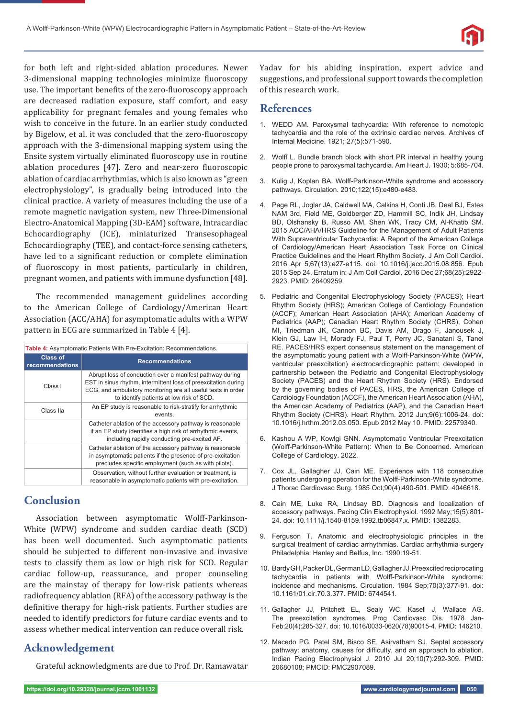

for both left and right-sided ablation procedures. Newer 3-dimensional mapping technologies minimize fluoroscopy use. The important benefits of the zero-fluoroscopy approach are decreased radiation exposure, staff comfort, and easy applicability for pregnant females and young females who wish to conceive in the future. In an earlier study conducted by Bigelow, et al. it was concluded that the zero-fluoroscopy approach with the 3-dimensional mapping system using the Ensite system virtually eliminated fluoroscopy use in routine ablation procedures [47]. Zero and near-zero fluoroscopic ablation of cardiac arrhythmias, which is also known as "green electrophysiology", is gradually being introduced into the clinical practice. A variety of measures including the use of a remote magnetic navigation system, new Three-Dimensional Electro-Anatomical Mapping (3D-EAM) software, Intracardiac Echocardiography (ICE), miniaturized Transesophageal Echocardiography (TEE), and contact-force sensing catheters, have led to a significant reduction or complete elimination of fluoroscopy in most patients, particularly in children, pregnant women, and patients with immune dysfunction [48].

The recommended management guidelines according to the American College of Cardiology/American Heart Association (ACC/AHA) for asymptomatic adults with a WPW pattern in ECG are summarized in Table 4 [4].

| Table 4: Asymptomatic Patients With Pre-Excitation: Recommendations. |                                                                                                                                                                                                                                        |  |  |
|----------------------------------------------------------------------|----------------------------------------------------------------------------------------------------------------------------------------------------------------------------------------------------------------------------------------|--|--|
| <b>Class of</b><br>recommendations                                   | <b>Recommendations</b>                                                                                                                                                                                                                 |  |  |
| Class I                                                              | Abrupt loss of conduction over a manifest pathway during<br>EST in sinus rhythm, intermittent loss of preexcitation during<br>ECG, and ambulatory monitoring are all useful tests in order<br>to identify patients at low risk of SCD. |  |  |
| Class IIa                                                            | An EP study is reasonable to risk-stratify for arrhythmic<br>events.                                                                                                                                                                   |  |  |
|                                                                      | Catheter ablation of the accessory pathway is reasonable<br>if an EP study identifies a high risk of arrhythmic events,<br>including rapidly conducting pre-excited AF.                                                                |  |  |
|                                                                      | Catheter ablation of the accessory pathway is reasonable<br>in asymptomatic patients if the presence of pre-excitation<br>precludes specific employment (such as with pilots).                                                         |  |  |
|                                                                      | Observation, without further evaluation or treatment, is<br>reasonable in asymptomatic patients with pre-excitation.                                                                                                                   |  |  |

## **Conclusion**

Association between asymptomatic Wolff-Parkinson-White (WPW) syndrome and sudden cardiac death (SCD) has been well documented. Such asymptomatic patients should be subjected to different non-invasive and invasive tests to classify them as low or high risk for SCD. Regular cardiac follow-up, reassurance, and proper counseling are the mainstay of therapy for low-risk patients whereas radiofrequency ablation (RFA) of the accessory pathway is the definitive therapy for high-risk patients. Further studies are needed to identify predictors for future cardiac events and to assess whether medical intervention can reduce overall risk.

# **Acknowledgement**

Grateful acknowledgments are due to Prof. Dr. Ramawatar

Yadav for his abiding inspiration, expert advice and suggestions, and professional support towards the completion of this research work.

## **References**

- 1. WEDD AM. Paroxysmal tachycardia: With reference to nomotopic tachycardia and the role of the extrinsic cardiac nerves. Archives of Internal Medicine. 1921; 27(5):571-590.
- 2. Wolff L. Bundle branch block with short PR interval in healthy young people prone to paroxysmal tachycardia. Am Heart J. 1930; 5:685-704.
- 3. Kulig J, Koplan BA. Wolff-Parkinson-White syndrome and accessory pathways. Circulation. 2010;122(15):e480-e483.
- 4. Page RL, Joglar JA, Caldwell MA, Calkins H, Conti JB, Deal BJ, Estes NAM 3rd, Field ME, Goldberger ZD, Hammill SC, Indik JH, Lindsay BD, Olshansky B, Russo AM, Shen WK, Tracy CM, Al-Khatib SM. 2015 ACC/AHA/HRS Guideline for the Management of Adult Patients With Supraventricular Tachycardia: A Report of the American College of Cardiology/American Heart Association Task Force on Clinical Practice Guidelines and the Heart Rhythm Society. J Am Coll Cardiol. 2016 Apr 5;67(13):e27-e115. doi: 10.1016/j.jacc.2015.08.856. Epub 2015 Sep 24. Erratum in: J Am Coll Cardiol. 2016 Dec 27;68(25):2922- 2923. PMID: 26409259.
- 5. Pediatric and Congenital Electrophysiology Society (PACES); Heart Rhythm Society (HRS); American College of Cardiology Foundation (ACCF); American Heart Association (AHA); American Academy of Pediatrics (AAP); Canadian Heart Rhythm Society (CHRS), Cohen MI, Triedman JK, Cannon BC, Davis AM, Drago F, Janousek J, Klein GJ, Law IH, Morady FJ, Paul T, Perry JC, Sanatani S, Tanel RE. PACES/HRS expert consensus statement on the management of the asymptomatic young patient with a Wolff-Parkinson-White (WPW, ventricular preexcitation) electrocardiographic pattern: developed in partnership between the Pediatric and Congenital Electrophysiology Society (PACES) and the Heart Rhythm Society (HRS). Endorsed by the governing bodies of PACES, HRS, the American College of Cardiology Foundation (ACCF), the American Heart Association (AHA), the American Academy of Pediatrics (AAP), and the Canadian Heart Rhythm Society (CHRS). Heart Rhythm. 2012 Jun;9(6):1006-24. doi: 10.1016/j.hrthm.2012.03.050. Epub 2012 May 10. PMID: 22579340.
- 6. Kashou A WP, Kowlgi GNN. Asymptomatic Ventricular Preexcitation (Wolff-Parkinson-White Pattern): When to Be Concerned. American College of Cardiology. 2022.
- 7. Cox JL, Gallagher JJ, Cain ME. Experience with 118 consecutive patients undergoing operation for the Wolff-Parkinson-White syndrome. J Thorac Cardiovasc Surg. 1985 Oct;90(4):490-501. PMID: 4046618.
- 8. Cain ME, Luke RA, Lindsay BD. Diagnosis and localization of accessory pathways. Pacing Clin Electrophysiol. 1992 May;15(5):801- 24. doi: 10.1111/j.1540-8159.1992.tb06847.x. PMID: 1382283.
- 9. Ferguson T. Anatomic and electrophysiologic principles in the surgical treatment of cardiac arrhythmias. Cardiac arrhythmia surgery Philadelphia: Hanley and Belfus, Inc. 1990:19-51.
- 10. Bardy GH, Packer DL, German LD, Gallagher JJ. Preexcited reciprocating tachycardia in patients with Wolff-Parkinson-White syndrome: incidence and mechanisms. Circulation. 1984 Sep;70(3):377-91. doi: 10.1161/01.cir.70.3.377. PMID: 6744541.
- 11. Gallagher JJ, Pritchett EL, Sealy WC, Kasell J, Wallace AG. The preexcitation syndromes. Prog Cardiovasc Dis. 1978 Jan-Feb;20(4):285-327. doi: 10.1016/0033-0620(78)90015-4. PMID: 146210.
- 12. Macedo PG, Patel SM, Bisco SE, Asirvatham SJ. Septal accessory pathway: anatomy, causes for difficulty, and an approach to ablation. Indian Pacing Electrophysiol J. 2010 Jul 20;10(7):292-309. PMID: 20680108; PMCID: PMC2907089.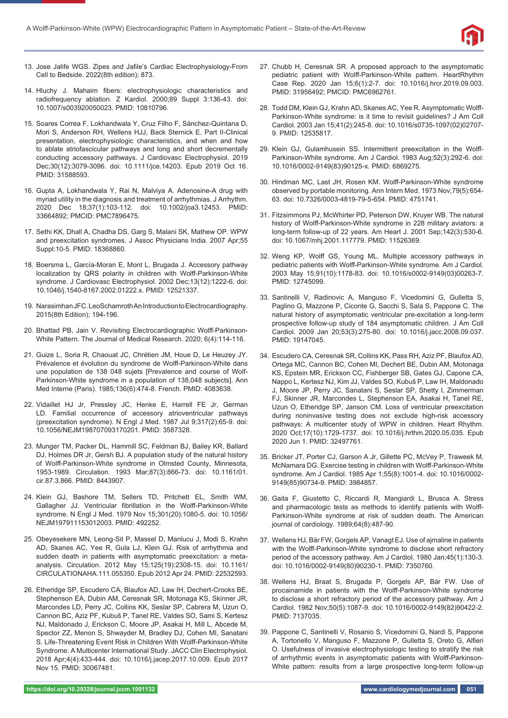

- 13. Jose Jalife WGS. Zipes and Jafile's Cardiac Electrophysiology-From Cell to Bedside. 2022(8th edition); 873.
- 14. Hluchy J. Mahaim fibers: electrophysiologic characteristics and radiofrequency ablation. Z Kardiol. 2000;89 Suppl 3:136-43. doi: 10.1007/s003920050023. PMID: 10810796.
- 15. Soares Correa F, Lokhandwala Y, Cruz Filho F, Sánchez-Quintana D, Mori S, Anderson RH, Wellens HJJ, Back Sternick E. Part II-Clinical presentation, electrophysiologic characteristics, and when and how to ablate atriofascicular pathways and long and short decrementally conducting accessory pathways. J Cardiovasc Electrophysiol. 2019 Dec;30(12):3079-3096. doi: 10.1111/jce.14203. Epub 2019 Oct 16. PMID: 31588593.
- 16. Gupta A, Lokhandwala Y, Rai N, Malviya A. Adenosine-A drug with myriad utility in the diagnosis and treatment of arrhythmias. J Arrhythm. 2020 Dec 18;37(1):103-112. doi: 10.1002/joa3.12453. PMID: 33664892; PMCID: PMC7896475.
- 17. Sethi KK, Dhall A, Chadha DS, Garg S, Malani SK, Mathew OP. WPW and preexcitation syndromes. J Assoc Physicians India. 2007 Apr;55 Suppl:10-5. PMID: 18368860.
- 18. Boersma L, García-Moran E, Mont L, Brugada J. Accessory pathway localization by QRS polarity in children with Wolff-Parkinson-White syndrome. J Cardiovasc Electrophysiol. 2002 Dec;13(12):1222-6. doi: 10.1046/j.1540-8167.2002.01222.x. PMID: 12521337.
- 19. Narasimhan JFC. LeoSchamroth An Introduction to Electrocardiography. 2015(8th Edition); 194-196.
- 20. Bhattad PB, Jain V. Revisiting Electrocardiographic Wolff-Parkinson-White Pattern. The Journal of Medical Research. 2020; 6(4):114-116.
- 21. Guize L, Soria R, Chaouat JC, Chrétien JM, Houe D, Le Heuzey JY. Prévalence et évolution du syndrome de Wolff-Parkinson-White dans une population de 138 048 sujets [Prevalence and course of Wolf-Parkinson-White syndrome in a population of 138,048 subjects]. Ann Med Interne (Paris). 1985;136(6):474-8. French. PMID: 4083638.
- 22. Vidaillet HJ Jr, Pressley JC, Henke E, Harrell FE Jr, German LD. Familial occurrence of accessory atrioventricular pathways (preexcitation syndrome). N Engl J Med. 1987 Jul 9;317(2):65-9. doi: 10.1056/NEJM198707093170201. PMID: 3587328.
- 23. Munger TM, Packer DL, Hammill SC, Feldman BJ, Bailey KR, Ballard DJ, Holmes DR Jr, Gersh BJ. A population study of the natural history of Wolff-Parkinson-White syndrome in Olmsted County, Minnesota, 1953-1989. Circulation. 1993 Mar;87(3):866-73. doi: 10.1161/01. cir.87.3.866. PMID: 8443907.
- 24. Klein GJ, Bashore TM, Sellers TD, Pritchett EL, Smith WM, Gallagher JJ. Ventricular fibrillation in the Wolff-Parkinson-White syndrome. N Engl J Med. 1979 Nov 15;301(20):1080-5. doi: 10.1056/ NEJM197911153012003. PMID: 492252.
- 25. Obeyesekere MN, Leong-Sit P, Massel D, Manlucu J, Modi S, Krahn AD, Skanes AC, Yee R, Gula LJ, Klein GJ. Risk of arrhythmia and sudden death in patients with asymptomatic preexcitation: a metaanalysis. Circulation. 2012 May 15;125(19):2308-15. doi: 10.1161/ CIRCULATIONAHA.111.055350. Epub 2012 Apr 24. PMID: 22532593.
- 26. Etheridge SP, Escudero CA, Blaufox AD, Law IH, Dechert-Crooks BE, Stephenson EA, Dubin AM, Ceresnak SR, Motonaga KS, Skinner JR, Marcondes LD, Perry JC, Collins KK, Seslar SP, Cabrera M, Uzun O, Cannon BC, Aziz PF, Kubuš P, Tanel RE, Valdes SO, Sami S, Kertesz NJ, Maldonado J, Erickson C, Moore JP, Asakai H, Mill L, Abcede M, Spector ZZ, Menon S, Shwayder M, Bradley DJ, Cohen MI, Sanatani S. Life-Threatening Event Risk in Children With Wolff-Parkinson-White Syndrome: A Multicenter International Study. JACC Clin Electrophysiol. 2018 Apr;4(4):433-444. doi: 10.1016/j.jacep.2017.10.009. Epub 2017 Nov 15. PMID: 30067481.
- 27. Chubb H, Ceresnak SR. A proposed approach to the asymptomatic pediatric patient with Wolff-Parkinson-White pattern. HeartRhythm Case Rep. 2020 Jan 15;6(1):2-7. doi: 10.1016/j.hrcr.2019.09.003. PMID: 31956492; PMCID: PMC6962761.
- 28. Todd DM, Klein GJ, Krahn AD, Skanes AC, Yee R. Asymptomatic Wolff-Parkinson-White syndrome: is it time to revisit guidelines? J Am Coll Cardiol. 2003 Jan 15;41(2):245-8. doi: 10.1016/s0735-1097(02)02707- 9. PMID: 12535817.
- 29. Klein GJ, Gulamhusein SS. Intermittent preexcitation in the Wolff-Parkinson-White syndrome. Am J Cardiol. 1983 Aug;52(3):292-6. doi: 10.1016/0002-9149(83)90125-x. PMID: 6869275.
- 30. Hindman MC, Last JH, Rosen KM. Wolff -Parkinson-White syndrome observed by portable monitoring. Ann Intern Med. 1973 Nov;79(5):654- 63. doi: 10.7326/0003-4819-79-5-654. PMID: 4751741.
- 31. Fitzsimmons PJ, McWhirter PD, Peterson DW, Kruyer WB. The natural history of Wolff-Parkinson-White syndrome in 228 military aviators: a long-term follow-up of 22 years. Am Heart J. 2001 Sep;142(3):530-6. doi: 10.1067/mhj.2001.117779. PMID: 11526369.
- 32. Weng KP, Wolff GS, Young ML. Multiple accessory pathways in pediatric patients with Wolff-Parkinson-White syndrome. Am J Cardiol. 2003 May 15;91(10):1178-83. doi: 10.1016/s0002-9149(03)00263-7. PMID: 12745099.
- 33. Santinelli V, Radinovic A, Manguso F, Vicedomini G, Gulletta S, Paglino G, Mazzone P, Ciconte G, Sacchi S, Sala S, Pappone C. The natural history of asymptomatic ventricular pre-excitation a long-term prospective follow-up study of 184 asymptomatic children. J Am Coll Cardiol. 2009 Jan 20;53(3):275-80. doi: 10.1016/j.jacc.2008.09.037. PMID: 19147045.
- 34. Escudero CA, Ceresnak SR, Collins KK, Pass RH, Aziz PF, Blaufox AD, Ortega MC, Cannon BC, Cohen MI, Dechert BE, Dubin AM, Motonaga KS, Epstein MR, Erickson CC, Fishberger SB, Gates GJ, Capone CA, Nappo L, Kertesz NJ, Kim JJ, Valdes SO, Kubuš P, Law IH, Maldonado J, Moore JP, Perry JC, Sanatani S, Seslar SP, Shetty I, Zimmerman FJ, Skinner JR, Marcondes L, Stephenson EA, Asakai H, Tanel RE, Uzun O, Etheridge SP, Janson CM. Loss of ventricular preexcitation during noninvasive testing does not exclude high-risk accessory pathways: A multicenter study of WPW in children. Heart Rhythm. 2020 Oct;17(10):1729-1737. doi: 10.1016/j.hrthm.2020.05.035. Epub 2020 Jun 1. PMID: 32497761.
- 35. Bricker JT, Porter CJ, Garson A Jr, Gillette PC, McVey P, Traweek M, McNamara DG. Exercise testing in children with Wolff-Parkinson-White syndrome. Am J Cardiol. 1985 Apr 1;55(8):1001-4. doi: 10.1016/0002- 9149(85)90734-9. PMID: 3984857.
- 36. Gaita F, Giustetto C, Riccardi R, Mangiardi L, Brusca A. Stress and pharmacologic tests as methods to identify patients with Wolff-Parkinson-White syndrome at risk of sudden death. The American journal of cardiology. 1989;64(8):487-90.
- 37. Wellens HJ, Bär FW, Gorgels AP, Vanagt EJ. Use of ajmaline in patients with the Wolff-Parkinson-White syndrome to disclose short refractory period of the accessory pathway. Am J Cardiol. 1980 Jan;45(1):130-3. doi: 10.1016/0002-9149(80)90230-1. PMID: 7350760.
- 38. Wellens HJ, Braat S, Brugada P, Gorgels AP, Bär FW. Use of procainamide in patients with the Wolff-Parkinson-White syndrome to disclose a short refractory period of the accessory pathway. Am J Cardiol. 1982 Nov;50(5):1087-9. doi: 10.1016/0002-9149(82)90422-2. PMID: 7137035.
- 39. Pappone C, Santinelli V, Rosanio S, Vicedomini G, Nardi S, Pappone A, Tortoriello V, Manguso F, Mazzone P, Gulletta S, Oreto G, Alfieri O. Usefulness of invasive electrophysiologic testing to stratify the risk of arrhythmic events in asymptomatic patients with Wolff-Parkinson-White pattern: results from a large prospective long-term follow-up